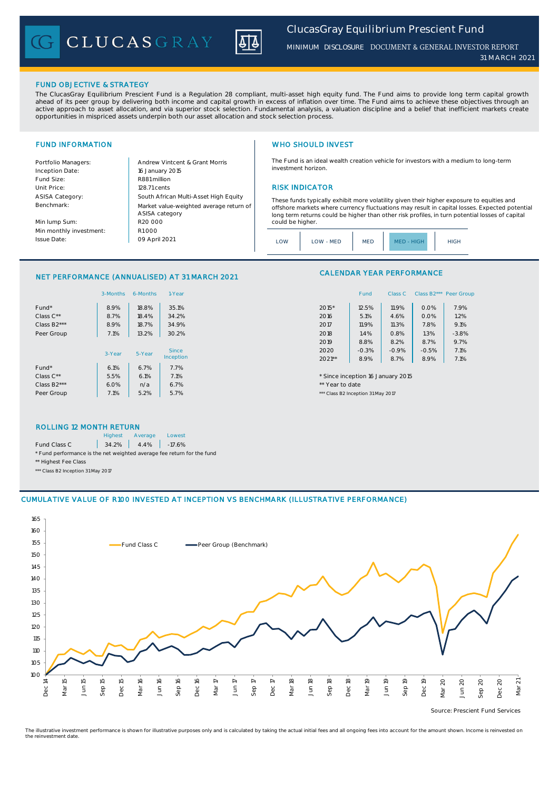CLUCASGRAY



*MINIMUM DISCLOSURE* DOCUMENT & GENERAL INVESTOR REPORT *31 MA RC H 2021*

### FUND OBJECTIVE & STRATEGY

The ClucasGray Equilibrium Prescient Fund is a Regulation 28 compliant, multi-asset high equity fund. The Fund aims to provide long term capital growth ahead of its peer group by delivering both income and capital growth in excess of inflation over time. The Fund aims to achieve these objectives through an<br>active approach to asset allocation, and via superior stock select opportunities in mispriced assets underpin both our asset allocation and stock selection process.

Inception Date: Fund Size: R881 million ASISA Category: Benchmark:

Min lump Sum: Min monthly investment: Issue Date:

Portfolio Managers: <br>Andrew Vintcent & Grant Morris Unit Price: 128.71 cents RISK INDICATOR South African Multi-Asset High Equity 16 January 2015 R20 000 Market value-weighted average return of ASISA category 09 April 2021  $R1000$ 

# FUND INFORMATION **WHO SHOULD INVEST**

The Fund is an ideal wealth creation vehicle for investors with a medium to long-term investment horizon.

These funds typically exhibit more volatility given their higher exposure to equities and offshore markets where currency fluctuations may result in capital losses. Expected potential long term returns could be higher than other risk profiles, in turn potential losses of capital could be higher

| ONM<br><b>MED</b><br>LOW - MED<br>MFD - HIGH | <b>HIGH</b> |
|----------------------------------------------|-------------|
|----------------------------------------------|-------------|

### NET PERFORMANCE (ANNUALISED) AT 31 MARCH 2021

|                          | 3-Months | 6-Months | 1-Year    | Class B2*** Peer Gro<br>Fund<br>Class C       |
|--------------------------|----------|----------|-----------|-----------------------------------------------|
| Fund*                    | 8.9%     | 18.8%    | 35.1%     | 7.9%<br>2015*<br>12.5%<br>11.9%<br>0.0%       |
| Class C**                | 8.7%     | 18.4%    | 34.2%     | 5.1%<br>0.0%<br>1.2%<br>2016<br>4.6%          |
| Class B <sub>2</sub> *** | 8.9%     | 18.7%    | 34.9%     | 9.1%<br>11.9%<br>7.8%<br>2017<br>11.3%        |
| Peer Group               | 7.1%     | 13.2%    | 30.2%     | $-3.8%$<br>1.4%<br>1.3%<br>2018<br>0.8%       |
|                          |          |          |           | 8.7%<br>9.7%<br>8.8%<br>2019<br>8.2%          |
|                          | 3-Year   | 5-Year   | Since     | 7.1%<br>$-0.3%$<br>$-0.5%$<br>2020<br>$-0.9%$ |
|                          |          |          | Inception | 8.9%<br>8.9%<br>7.1%<br>$2021**$<br>8.7%      |
| Fund*                    | 6.1%     | 6.7%     | 7.7%      |                                               |
| Class C**                | 5.5%     | 6.1%     | 7.1%      | * Since inception 16 January 2015             |
| Class B <sub>2</sub> *** | 6.0%     | n/a      | 6.7%      | ** Year to date                               |
| Peer Group               | 7.1%     | 5.2%     | 5.7%      | *** Class B2 Inception 31 May 2017            |

# CALENDAR YEAR PERFORMANCE

| 1-Year  |          | Fund    | Class C | Class B <sub>2</sub> *** | Peer Group |
|---------|----------|---------|---------|--------------------------|------------|
| 35.1%   | 2015*    | 12.5%   | 11.9%   | 0.0%                     | 7.9%       |
| 34.2%   | 2016     | 5.1%    | 4.6%    | 0.0%                     | 1.2%       |
| 34.9%   | 2017     | 11.9%   | 11.3%   | 7.8%                     | 9.1%       |
| 30.2%   | 2018     | 1.4%    | 0.8%    | 1.3%                     | $-3.8%$    |
|         | 2019     | 8.8%    | 8.2%    | 8.7%                     | 9.7%       |
| Since   | 2020     | $-0.3%$ | $-0.9%$ | $-0.5%$                  | 7.1%       |
| ception | $2021**$ | 8.9%    | 8.7%    | 8.9%                     | 7.1%       |
|         |          |         |         |                          |            |

### ROLLING 12 MONTH RETURN

|                                                                        | <b>Highest</b> | Average              | Lowest |
|------------------------------------------------------------------------|----------------|----------------------|--------|
| Fund Class C                                                           |                | $34.2\%$ 4.4% -17.6% |        |
| * Fund performance is the net weighted average fee return for the fund |                |                      |        |
| ** Highest Fee Class                                                   |                |                      |        |

\*\*\* Class B2 Inception 31 May 2017

### CUMULATIVE VALUE OF R100 INVESTED AT INCEPTION VS BENCHMARK (ILLUSTRATIVE PERFORMANCE)



Source: Prescient Fund Services

The illustrative investment performance is shown for illustrative purposes only and is calculated by taking the actual initial fees and all ongoing fees into account for the amount shown. Income is reinvested on the reinvestment date.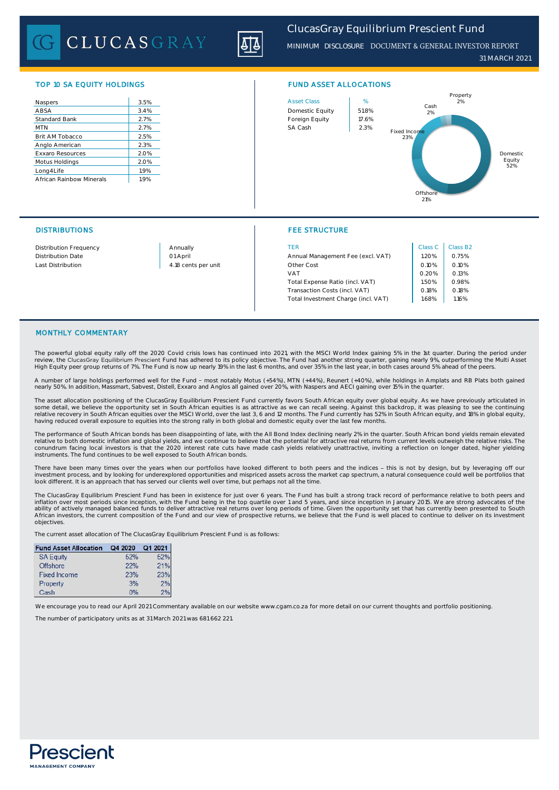CLUCASGRAY

*ClucasGray Equilibrium Prescient Fund*

*31 MARCH 2021 MINIMUM DISCLOSURE* DOCUMENT & GENERAL INVESTOR REPORT

# TOP 10 SA EQUITY HOLDINGS FUND ASSET ALLOCATIONS

| Naspers                  | 3.5% |
|--------------------------|------|
| ABSA                     | 3.4% |
| Standard Bank            | 2.7% |
| <b>MTN</b>               | 2.7% |
| Brit AM Tobacco          | 2.5% |
| Anglo American           | 2.3% |
| <b>Exxaro Resources</b>  | 2.0% |
| Motus Holdings           | 2.0% |
| Long4Life                | 1.9% |
| African Rainbow Minerals | 1.9% |

# DISTRIBUTIONS FEE STRUCTURE



| Distribution Frequency | Annually            | TER                                 | Class C | Class B |
|------------------------|---------------------|-------------------------------------|---------|---------|
| Distribution Date      | 01 April            | Annual Management Fee (excl. VAT)   | 1.20%   | 0.75%   |
| Last Distribution      | 4.18 cents per unit | Other Cost                          | 0.10%   | 0.10%   |
|                        |                     | VAT                                 | 0.20%   | 0.13%   |
|                        |                     | Total Expense Ratio (incl. VAT)     | 1.50%   | 0.98%   |
|                        |                     | Transaction Costs (incl. VAT)       | 0.18%   | 0.18%   |
|                        |                     | Total Investment Charge (incl. VAT) | 1.68%   | 1.16%   |

| Class C | Class B <sub>2</sub> |
|---------|----------------------|
| 1.20%   | 0.75%                |
| 0.10%   | 0.10%                |
| 0.20%   | 0.13%                |
| 1.50%   | 0.98%                |
| 0.18%   | 0.18%                |
| 168%    | 116%                 |

# MONTHLY COMMENTARY

The powerful global equity rally off the 2020 Covid crisis lows has continued into 2021, with the MSCI World Index gaining 5% in the 1st quarter. During the period under review, the <mark>ClucasGray Equilibrium Prescient</mark> Fund has adhered to its policy objective. The Fund had another strong quarter, gaining nearly 9%, outperforming the Multi Asset<br>High Equity peer group returns of 7%. The Fund

A number of large holdings performed well for the Fund - most notably Motus (+54%), MTN (+44%), Reunert (+40%), while holdings in Amplats and RB Plats both gained<br>nearly 50%. In addition, Massmart, Sabvest, Distell, Exxaro

The asset allocation positioning of the ClucasGray Equilibrium Prescient Fund currently favors South African equity over global equity. As we have previously articulated in some detail, we believe the opportunity set in South African equities is as attractive as we can recall seeing. Against this backdrop, it was pleasing to see the continuing<br>relative recovery in South African equities over having reduced overall exposure to equities into the strong rally in both global and domestic equity over the last few months.

The performance of South African bonds has been disappointing of late, with the All Bond Index declining nearly 2% in the quarter. South African bond yields remain elevated relative to both domestic inflation and global yields, and we continue to believe that the potential for attractive real returns from current levels outweigh the relative risks. The conundrum facing local investors is that the 2020 interest rate cuts have made cash yields relatively unattractive, inviting a reflection on longer dated, higher yielding instruments. The fund continues to be well exposed to South African bonds.

There have been many times over the years when our portfolios have looked different to both peers and the indices - this is not by design, but by leveraging off our investment process, and by looking for underexplored opportunities and mispriced assets across the market cap spectrum, a natural consequence could well be portfolios that<br>look different. It is an approach that has served

The ClucasGray Equilibrium Prescient Fund has been in existence for just over 6 years. The Fund has built a strong track record of performance relative to both peers and inflation over most periods since inception, with the Fund being in the top quartile over 1 and 5 years, and since inception in January 2015. We are strong advocates of the<br>ability of actively managed balanced funds to del African investors, the current composition of the Fund and our view of prospective returns, we believe that the Fund is well placed to continue to deliver on its investment objectives.

The current asset allocation of The ClucasGray Equilibrium Prescient Fund is as follows:

### Fund Asset Allocation Q4 2020 Q1 2021

| <b>SA Equity</b> | 52% | 52%  |
|------------------|-----|------|
| Offshore         | 22% | 21%  |
| Fixed Income     | 23% | 23%  |
| Property         | 3%  | 2%   |
| Cash             | 0%  | 20/2 |

We encourage you to read our April 2021 Commentary available on our website www.cgam.co.za for more detail on our current thoughts and portfolio positioning. The number of participatory units as at 31 March 2021 was 681 662 221.